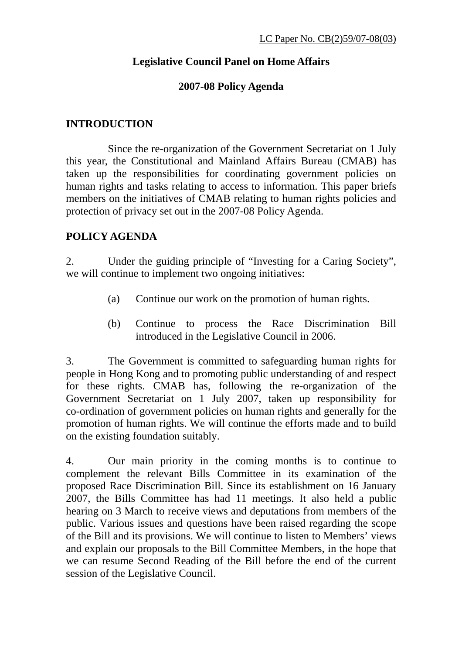# **Legislative Council Panel on Home Affairs**

### **2007-08 Policy Agenda**

#### **INTRODUCTION**

 Since the re-organization of the Government Secretariat on 1 July this year, the Constitutional and Mainland Affairs Bureau (CMAB) has taken up the responsibilities for coordinating government policies on human rights and tasks relating to access to information. This paper briefs members on the initiatives of CMAB relating to human rights policies and protection of privacy set out in the 2007-08 Policy Agenda.

### **POLICY AGENDA**

2. Under the guiding principle of "Investing for a Caring Society", we will continue to implement two ongoing initiatives:

- (a) Continue our work on the promotion of human rights.
- (b) Continue to process the Race Discrimination Bill introduced in the Legislative Council in 2006.

3. The Government is committed to safeguarding human rights for people in Hong Kong and to promoting public understanding of and respect for these rights. CMAB has, following the re-organization of the Government Secretariat on 1 July 2007, taken up responsibility for co-ordination of government policies on human rights and generally for the promotion of human rights. We will continue the efforts made and to build on the existing foundation suitably.

4. Our main priority in the coming months is to continue to complement the relevant Bills Committee in its examination of the proposed Race Discrimination Bill. Since its establishment on 16 January 2007, the Bills Committee has had 11 meetings. It also held a public hearing on 3 March to receive views and deputations from members of the public. Various issues and questions have been raised regarding the scope of the Bill and its provisions. We will continue to listen to Members' views and explain our proposals to the Bill Committee Members, in the hope that we can resume Second Reading of the Bill before the end of the current session of the Legislative Council.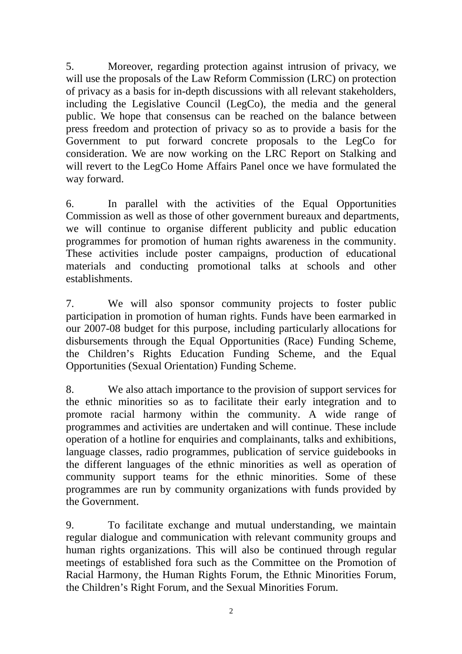5. Moreover, regarding protection against intrusion of privacy, we will use the proposals of the Law Reform Commission (LRC) on protection of privacy as a basis for in-depth discussions with all relevant stakeholders, including the Legislative Council (LegCo), the media and the general public. We hope that consensus can be reached on the balance between press freedom and protection of privacy so as to provide a basis for the Government to put forward concrete proposals to the LegCo for consideration. We are now working on the LRC Report on Stalking and will revert to the LegCo Home Affairs Panel once we have formulated the way forward.

6. In parallel with the activities of the Equal Opportunities Commission as well as those of other government bureaux and departments, we will continue to organise different publicity and public education programmes for promotion of human rights awareness in the community. These activities include poster campaigns, production of educational materials and conducting promotional talks at schools and other establishments.

7. We will also sponsor community projects to foster public participation in promotion of human rights. Funds have been earmarked in our 2007-08 budget for this purpose, including particularly allocations for disbursements through the Equal Opportunities (Race) Funding Scheme, the Children's Rights Education Funding Scheme, and the Equal Opportunities (Sexual Orientation) Funding Scheme.

8. We also attach importance to the provision of support services for the ethnic minorities so as to facilitate their early integration and to promote racial harmony within the community. A wide range of programmes and activities are undertaken and will continue. These include operation of a hotline for enquiries and complainants, talks and exhibitions, language classes, radio programmes, publication of service guidebooks in the different languages of the ethnic minorities as well as operation of community support teams for the ethnic minorities. Some of these programmes are run by community organizations with funds provided by the Government.

9. To facilitate exchange and mutual understanding, we maintain regular dialogue and communication with relevant community groups and human rights organizations. This will also be continued through regular meetings of established fora such as the Committee on the Promotion of Racial Harmony, the Human Rights Forum, the Ethnic Minorities Forum, the Children's Right Forum, and the Sexual Minorities Forum.